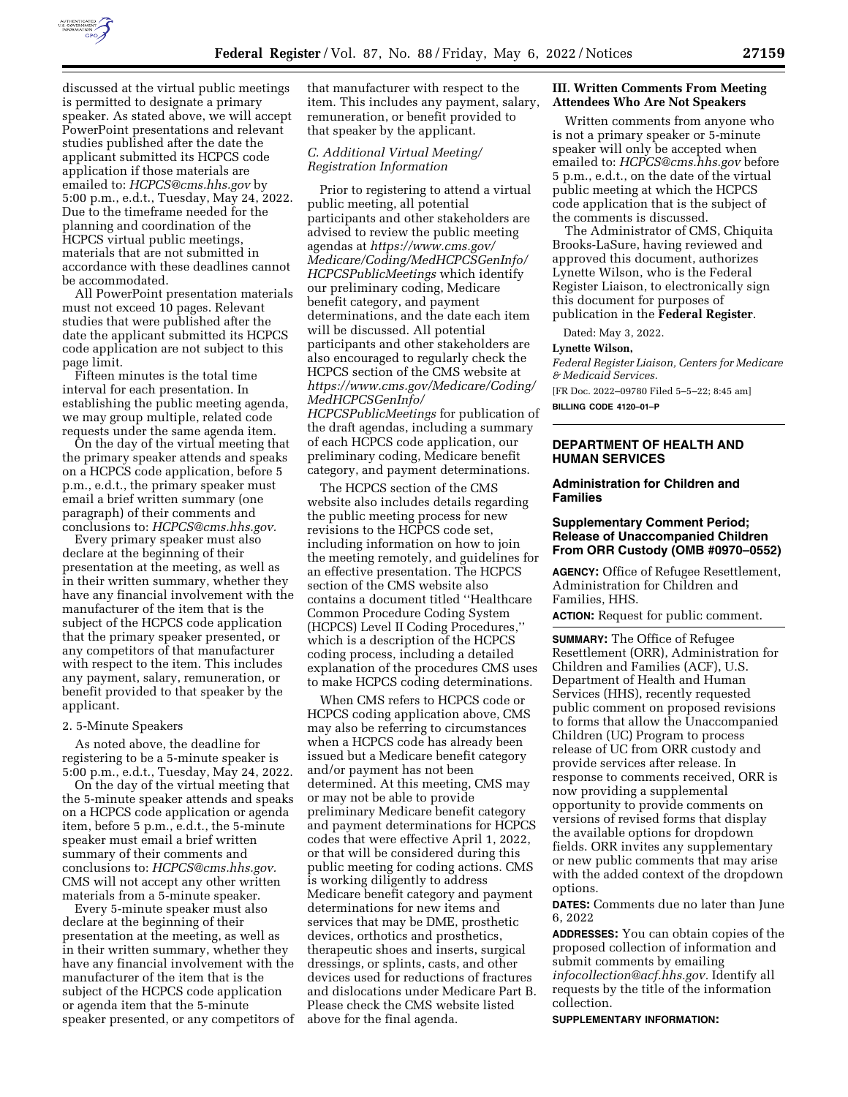

discussed at the virtual public meetings is permitted to designate a primary speaker. As stated above, we will accept PowerPoint presentations and relevant studies published after the date the applicant submitted its HCPCS code application if those materials are emailed to: *[HCPCS@cms.hhs.gov](mailto:HCPCS@cms.hhs.gov)* by 5:00 p.m., e.d.t., Tuesday, May 24, 2022. Due to the timeframe needed for the planning and coordination of the HCPCS virtual public meetings, materials that are not submitted in accordance with these deadlines cannot be accommodated.

All PowerPoint presentation materials must not exceed 10 pages. Relevant studies that were published after the date the applicant submitted its HCPCS code application are not subject to this page limit.

Fifteen minutes is the total time interval for each presentation. In establishing the public meeting agenda, we may group multiple, related code requests under the same agenda item.

On the day of the virtual meeting that the primary speaker attends and speaks on a HCPCS code application, before 5 p.m., e.d.t., the primary speaker must email a brief written summary (one paragraph) of their comments and conclusions to: *[HCPCS@cms.hhs.gov.](mailto:HCPCS@cms.hhs.gov)* 

Every primary speaker must also declare at the beginning of their presentation at the meeting, as well as in their written summary, whether they have any financial involvement with the manufacturer of the item that is the subject of the HCPCS code application that the primary speaker presented, or any competitors of that manufacturer with respect to the item. This includes any payment, salary, remuneration, or benefit provided to that speaker by the applicant.

#### 2. 5-Minute Speakers

As noted above, the deadline for registering to be a 5-minute speaker is 5:00 p.m., e.d.t., Tuesday, May 24, 2022.

On the day of the virtual meeting that the 5-minute speaker attends and speaks on a HCPCS code application or agenda item, before 5 p.m., e.d.t., the 5-minute speaker must email a brief written summary of their comments and conclusions to: *[HCPCS@cms.hhs.gov.](mailto:HCPCS@cms.hhs.gov)*  CMS will not accept any other written materials from a 5-minute speaker.

Every 5-minute speaker must also declare at the beginning of their presentation at the meeting, as well as in their written summary, whether they have any financial involvement with the manufacturer of the item that is the subject of the HCPCS code application or agenda item that the 5-minute speaker presented, or any competitors of

that manufacturer with respect to the item. This includes any payment, salary, remuneration, or benefit provided to that speaker by the applicant.

### *C. Additional Virtual Meeting/ Registration Information*

Prior to registering to attend a virtual public meeting, all potential participants and other stakeholders are advised to review the public meeting agendas at *[https://www.cms.gov/](https://www.cms.gov/Medicare/Coding/MedHCPCSGenInfo/HCPCSPublicMeetings)  [Medicare/Coding/MedHCPCSGenInfo/](https://www.cms.gov/Medicare/Coding/MedHCPCSGenInfo/HCPCSPublicMeetings) [HCPCSPublicMeetings](https://www.cms.gov/Medicare/Coding/MedHCPCSGenInfo/HCPCSPublicMeetings)* which identify our preliminary coding, Medicare benefit category, and payment determinations, and the date each item will be discussed. All potential participants and other stakeholders are also encouraged to regularly check the HCPCS section of the CMS website at *[https://www.cms.gov/Medicare/Coding/](https://www.cms.gov/Medicare/Coding/MedHCPCSGenInfo/HCPCSPublicMeetings)  [MedHCPCSGenInfo/](https://www.cms.gov/Medicare/Coding/MedHCPCSGenInfo/HCPCSPublicMeetings)  [HCPCSPublicMeetings](https://www.cms.gov/Medicare/Coding/MedHCPCSGenInfo/HCPCSPublicMeetings)* for publication of

the draft agendas, including a summary of each HCPCS code application, our preliminary coding, Medicare benefit category, and payment determinations.

The HCPCS section of the CMS website also includes details regarding the public meeting process for new revisions to the HCPCS code set, including information on how to join the meeting remotely, and guidelines for an effective presentation. The HCPCS section of the CMS website also contains a document titled ''Healthcare Common Procedure Coding System (HCPCS) Level II Coding Procedures,'' which is a description of the HCPCS coding process, including a detailed explanation of the procedures CMS uses to make HCPCS coding determinations.

When CMS refers to HCPCS code or HCPCS coding application above, CMS may also be referring to circumstances when a HCPCS code has already been issued but a Medicare benefit category and/or payment has not been determined. At this meeting, CMS may or may not be able to provide preliminary Medicare benefit category and payment determinations for HCPCS codes that were effective April 1, 2022, or that will be considered during this public meeting for coding actions. CMS is working diligently to address Medicare benefit category and payment determinations for new items and services that may be DME, prosthetic devices, orthotics and prosthetics, therapeutic shoes and inserts, surgical dressings, or splints, casts, and other devices used for reductions of fractures and dislocations under Medicare Part B. Please check the CMS website listed above for the final agenda.

#### **III. Written Comments From Meeting Attendees Who Are Not Speakers**

Written comments from anyone who is not a primary speaker or 5-minute speaker will only be accepted when emailed to: *[HCPCS@cms.hhs.gov](mailto:HCPCS@cms.hhs.gov)* before 5 p.m., e.d.t., on the date of the virtual public meeting at which the HCPCS code application that is the subject of the comments is discussed.

The Administrator of CMS, Chiquita Brooks-LaSure, having reviewed and approved this document, authorizes Lynette Wilson, who is the Federal Register Liaison, to electronically sign this document for purposes of publication in the **Federal Register**.

Dated: May 3, 2022.

### **Lynette Wilson,**

*Federal Register Liaison, Centers for Medicare & Medicaid Services.* 

[FR Doc. 2022–09780 Filed 5–5–22; 8:45 am]

**BILLING CODE 4120–01–P** 

## **DEPARTMENT OF HEALTH AND HUMAN SERVICES**

#### **Administration for Children and Families**

### **Supplementary Comment Period; Release of Unaccompanied Children From ORR Custody (OMB #0970–0552)**

**AGENCY:** Office of Refugee Resettlement, Administration for Children and Families, HHS.

**ACTION:** Request for public comment.

**SUMMARY:** The Office of Refugee Resettlement (ORR), Administration for Children and Families (ACF), U.S. Department of Health and Human Services (HHS), recently requested public comment on proposed revisions to forms that allow the Unaccompanied Children (UC) Program to process release of UC from ORR custody and provide services after release. In response to comments received, ORR is now providing a supplemental opportunity to provide comments on versions of revised forms that display the available options for dropdown fields. ORR invites any supplementary or new public comments that may arise with the added context of the dropdown options.

**DATES:** Comments due no later than June 6, 2022

**ADDRESSES:** You can obtain copies of the proposed collection of information and submit comments by emailing *[infocollection@acf.hhs.gov.](mailto:infocollection@acf.hhs.gov)* Identify all requests by the title of the information collection.

**SUPPLEMENTARY INFORMATION:**